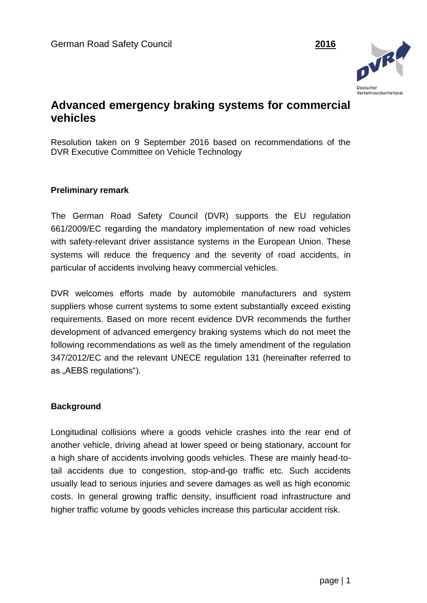

# **Advanced emergency braking systems for commercial vehicles**

Resolution taken on 9 September 2016 based on recommendations of the DVR Executive Committee on Vehicle Technology

### **Preliminary remark**

The German Road Safety Council (DVR) supports the EU regulation 661/2009/EC regarding the mandatory implementation of new road vehicles with safety-relevant driver assistance systems in the European Union. These systems will reduce the frequency and the severity of road accidents, in particular of accidents involving heavy commercial vehicles.

DVR welcomes efforts made by automobile manufacturers and system suppliers whose current systems to some extent substantially exceed existing requirements. Based on more recent evidence DVR recommends the further development of advanced emergency braking systems which do not meet the following recommendations as well as the timely amendment of the regulation 347/2012/EC and the relevant UNECE regulation 131 (hereinafter referred to as "AEBS regulations").

#### **Background**

Longitudinal collisions where a goods vehicle crashes into the rear end of another vehicle, driving ahead at lower speed or being stationary, account for a high share of accidents involving goods vehicles. These are mainly head-totail accidents due to congestion, stop-and-go traffic etc. Such accidents usually lead to serious injuries and severe damages as well as high economic costs. In general growing traffic density, insufficient road infrastructure and higher traffic volume by goods vehicles increase this particular accident risk.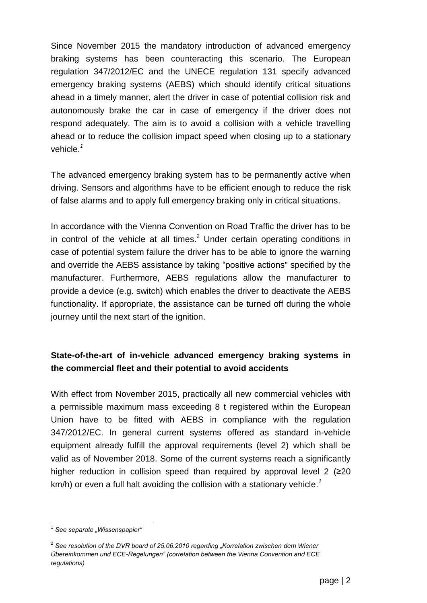Since November 2015 the mandatory introduction of advanced emergency braking systems has been counteracting this scenario. The European regulation 347/2012/EC and the UNECE regulation 131 specify advanced emergency braking systems (AEBS) which should identify critical situations ahead in a timely manner, alert the driver in case of potential collision risk and autonomously brake the car in case of emergency if the driver does not respond adequately. The aim is to avoid a collision with a vehicle travelling ahead or to reduce the collision impact speed when closing up to a stationary vehicle. *1*

The advanced emergency braking system has to be permanently active when driving. Sensors and algorithms have to be efficient enough to reduce the risk of false alarms and to apply full emergency braking only in critical situations.

In accordance with the Vienna Convention on Road Traffic the driver has to be in control of the vehicle at all times. $2$  Under certain operating conditions in case of potential system failure the driver has to be able to ignore the warning and override the AEBS assistance by taking "positive actions" specified by the manufacturer. Furthermore, AEBS regulations allow the manufacturer to provide a device (e.g. switch) which enables the driver to deactivate the AEBS functionality. If appropriate, the assistance can be turned off during the whole journey until the next start of the ignition.

## **State-of-the-art of in-vehicle advanced emergency braking systems in the commercial fleet and their potential to avoid accidents**

With effect from November 2015, practically all new commercial vehicles with a permissible maximum mass exceeding 8 t registered within the European Union have to be fitted with AEBS in compliance with the regulation 347/2012/EC. In general current systems offered as standard in-vehicle equipment already fulfill the approval requirements (level 2) which shall be valid as of November 2018. Some of the current systems reach a significantly higher reduction in collision speed than required by approval level 2 ( $\geq 20$ ) km/h) or even a full halt avoiding the collision with a stationary vehicle. *1*

 $\overline{a}$ <sup>1</sup> See separate "Wissenspapier"

<sup>&</sup>lt;sup>2</sup> See resolution of the DVR board of 25.06.2010 regarding "Korrelation zwischen dem Wiener *Übereinkommen und ECE-Regelungen" (correlation between the Vienna Convention and ECE regulations)*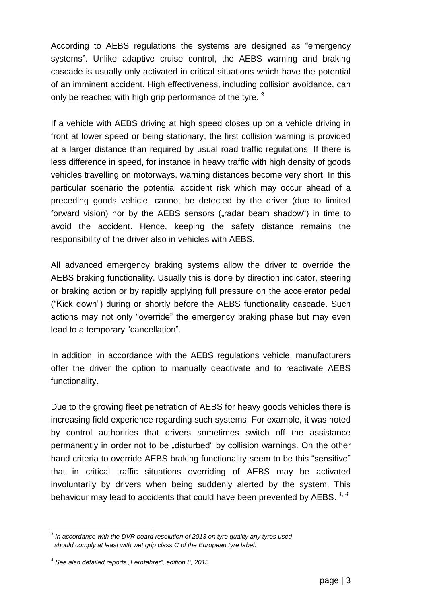According to AEBS regulations the systems are designed as "emergency systems". Unlike adaptive cruise control, the AEBS warning and braking cascade is usually only activated in critical situations which have the potential of an imminent accident. High effectiveness, including collision avoidance, can only be reached with high grip performance of the tyre. *<sup>3</sup>*

If a vehicle with AEBS driving at high speed closes up on a vehicle driving in front at lower speed or being stationary, the first collision warning is provided at a larger distance than required by usual road traffic regulations. If there is less difference in speed, for instance in heavy traffic with high density of goods vehicles travelling on motorways, warning distances become very short. In this particular scenario the potential accident risk which may occur ahead of a preceding goods vehicle, cannot be detected by the driver (due to limited forward vision) nor by the AEBS sensors ("radar beam shadow") in time to avoid the accident. Hence, keeping the safety distance remains the responsibility of the driver also in vehicles with AEBS.

All advanced emergency braking systems allow the driver to override the AEBS braking functionality. Usually this is done by direction indicator, steering or braking action or by rapidly applying full pressure on the accelerator pedal ("Kick down") during or shortly before the AEBS functionality cascade. Such actions may not only "override" the emergency braking phase but may even lead to a temporary "cancellation".

In addition, in accordance with the AEBS regulations vehicle, manufacturers offer the driver the option to manually deactivate and to reactivate AEBS functionality.

Due to the growing fleet penetration of AEBS for heavy goods vehicles there is increasing field experience regarding such systems. For example, it was noted by control authorities that drivers sometimes switch off the assistance permanently in order not to be "disturbed" by collision warnings. On the other hand criteria to override AEBS braking functionality seem to be this "sensitive" that in critical traffic situations overriding of AEBS may be activated involuntarily by drivers when being suddenly alerted by the system. This behaviour may lead to accidents that could have been prevented by AEBS. *1, 4*

 3 *In accordance with the DVR board resolution of 2013 on tyre quality any tyres used should comply at least with wet grip class C of the European tyre label.*

<sup>&</sup>lt;sup>4</sup> See also detailed reports "Fernfahrer", edition 8, 2015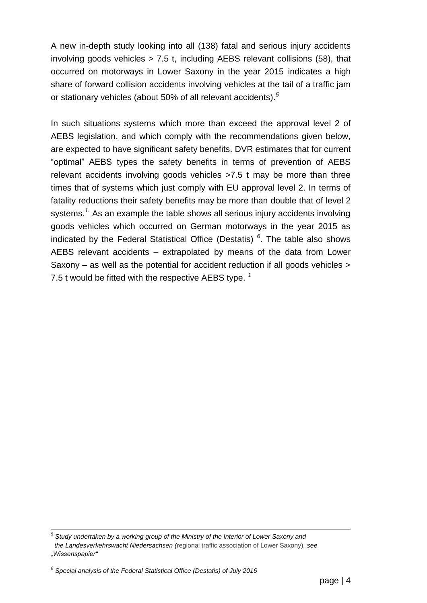A new in-depth study looking into all (138) fatal and serious injury accidents involving goods vehicles  $> 7.5$  t, including AEBS relevant collisions (58), that occurred on motorways in Lower Saxony in the year 2015 indicates a high share of forward collision accidents involving vehicles at the tail of a traffic jam or stationary vehicles (about 50% of all relevant accidents). *5*

In such situations systems which more than exceed the approval level 2 of AEBS legislation, and which comply with the recommendations given below, are expected to have significant safety benefits. DVR estimates that for current "optimal" AEBS types the safety benefits in terms of prevention of AEBS relevant accidents involving goods vehicles >7.5 t may be more than three times that of systems which just comply with EU approval level 2. In terms of fatality reductions their safety benefits may be more than double that of level 2 systems.<sup>1</sup> As an example the table shows all serious injury accidents involving goods vehicles which occurred on German motorways in the year 2015 as indicated by the Federal Statistical Office (Destatis) *6* . The table also shows AEBS relevant accidents – extrapolated by means of the data from Lower Saxony – as well as the potential for accident reduction if all goods vehicles > 7.5 t would be fitted with the respective AEBS type. *<sup>1</sup>*

 *5 Study undertaken by a working group of the Ministry of the Interior of Lower Saxony and the Landesverkehrswacht Niedersachsen (*regional traffic association of Lower Saxony)*, see "Wissenspapier"*

*<sup>6</sup> Special analysis of the Federal Statistical Office (Destatis) of July 2016*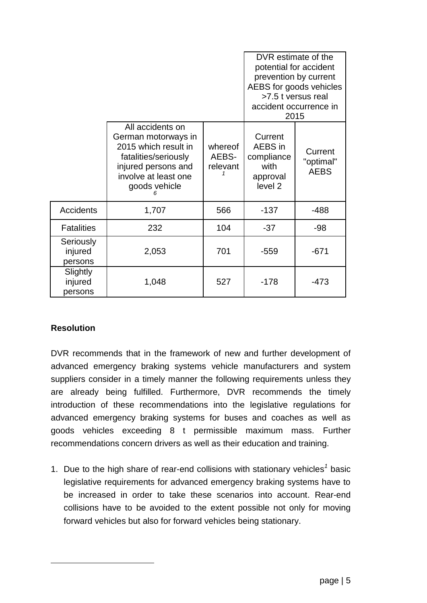|                                 |                                                                                                                                                         |                              | DVR estimate of the<br>potential for accident<br>prevention by current<br>AEBS for goods vehicles<br>>7.5 t versus real<br>accident occurrence in<br>2015 |                                     |
|---------------------------------|---------------------------------------------------------------------------------------------------------------------------------------------------------|------------------------------|-----------------------------------------------------------------------------------------------------------------------------------------------------------|-------------------------------------|
|                                 | All accidents on<br>German motorways in<br>2015 which result in<br>fatalities/seriously<br>injured persons and<br>involve at least one<br>goods vehicle | whereof<br>AEBS-<br>relevant | Current<br>AEBS in<br>compliance<br>with<br>approval<br>level <sub>2</sub>                                                                                | Current<br>"optimal"<br><b>AEBS</b> |
| <b>Accidents</b>                | 1,707                                                                                                                                                   | 566                          | $-137$                                                                                                                                                    | $-488$                              |
| <b>Fatalities</b>               | 232                                                                                                                                                     | 104                          | $-37$                                                                                                                                                     | $-98$                               |
| Seriously<br>injured<br>persons | 2,053                                                                                                                                                   | 701                          | $-559$                                                                                                                                                    | $-671$                              |
| Slightly<br>injured<br>persons  | 1,048                                                                                                                                                   | 527                          | $-178$                                                                                                                                                    | -473                                |

## **Resolution**

 $\overline{a}$ 

DVR recommends that in the framework of new and further development of advanced emergency braking systems vehicle manufacturers and system suppliers consider in a timely manner the following requirements unless they are already being fulfilled. Furthermore, DVR recommends the timely introduction of these recommendations into the legislative regulations for advanced emergency braking systems for buses and coaches as well as goods vehicles exceeding 8 t permissible maximum mass. Further recommendations concern drivers as well as their education and training.

1. Due to the high share of rear-end collisions with stationary vehicles*<sup>1</sup>* basic legislative requirements for advanced emergency braking systems have to be increased in order to take these scenarios into account. Rear-end collisions have to be avoided to the extent possible not only for moving forward vehicles but also for forward vehicles being stationary.